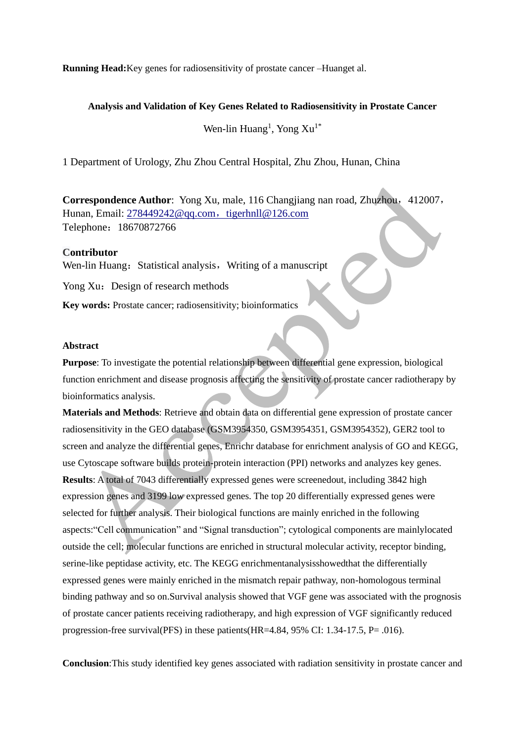**Running Head:**Key genes for radiosensitivity of prostate cancer –Huanget al.

# **Analysis and Validation of Key Genes Related to Radiosensitivity in Prostate Cancer**

Wen-lin Huang<sup>1</sup>, Yong  $Xu^{1*}$ 

1 Department of Urology, Zhu Zhou Central Hospital, Zhu Zhou, Hunan, China

**Correspondence Author**: Yong Xu, male, 116 Changjiang nan road, Zhuzhou, 412007, Hunan, Email: [278449242@qq.com](mailto:278449242@qq.com，tigerhnll@126.com), tigerhnll@126.com Telephone:18670872766

### **Contributor**

Wen-lin Huang: Statistical analysis, Writing of a manuscript

Yong Xu: Design of research methods

**Key words:** Prostate cancer; radiosensitivity; bioinformatics

#### **Abstract**

**Purpose**: To investigate the potential relationship between differential gene expression, biological function enrichment and disease prognosis affecting the sensitivity of prostate cancer radiotherapy by bioinformatics analysis.

**Materials and Methods**: Retrieve and obtain data on differential gene expression of prostate cancer radiosensitivity in the GEO database (GSM3954350, GSM3954351, GSM3954352), GER2 tool to screen and analyze the differential genes, Enrichr database for enrichment analysis of GO and KEGG, use Cytoscape software builds protein-protein interaction (PPI) networks and analyzes key genes. **Results**: A total of 7043 differentially expressed genes were screenedout, including 3842 high expression genes and 3199 low expressed genes. The top 20 differentially expressed genes were selected for further analysis. Their biological functions are mainly enriched in the following aspects:"Cell communication" and "Signal transduction"; cytological components are mainlylocated outside the cell; molecular functions are enriched in structural molecular activity, receptor binding, serine-like peptidase activity, etc. The KEGG enrichmentanalysisshowedthat the differentially expressed genes were mainly enriched in the mismatch repair pathway, non-homologous terminal binding pathway and so on.Survival analysis showed that VGF gene was associated with the prognosis of prostate cancer patients receiving radiotherapy, and high expression of VGF significantly reduced progression-free survival(PFS) in these patients(HR=4.84, 95% CI: 1.34-17.5, P= .016).

**Conclusion**:This study identified key genes associated with radiation sensitivity in prostate cancer and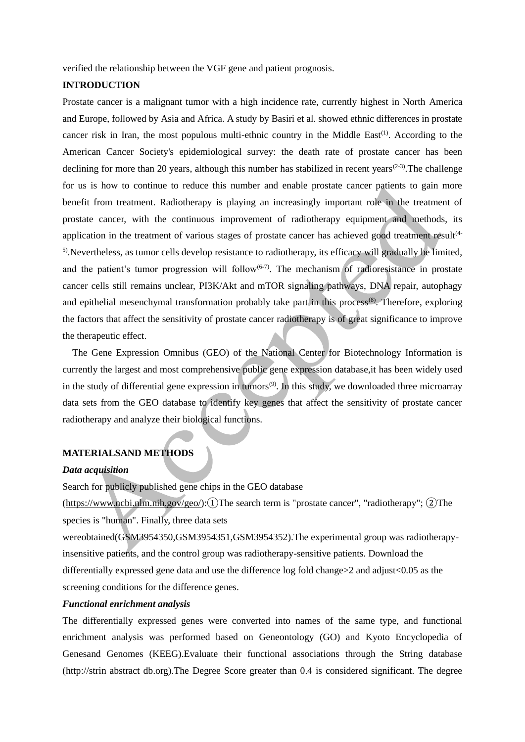verified the relationship between the VGF gene and patient prognosis.

## **INTRODUCTION**

Prostate cancer is a malignant tumor with a high incidence rate, currently highest in North America and Europe, followed by Asia and Africa. A study by Basiri et al. showed ethnic differences in prostate cancer risk in Iran, the most populous multi-ethnic country in the Middle East $(1)$ . According to the American Cancer Society's epidemiological survey: the death rate of prostate cancer has been declining for more than 20 years, although this number has stabilized in recent years<sup> $(2-3)$ </sup>. The challenge for us is how to continue to reduce this number and enable prostate cancer patients to gain more benefit from treatment. Radiotherapy is playing an increasingly important role in the treatment of prostate cancer, with the continuous improvement of radiotherapy equipment and methods, its application in the treatment of various stages of prostate cancer has achieved good treatment result<sup>(4-</sup> 5) .Nevertheless, as tumor cells develop resistance to radiotherapy, its efficacy will gradually be limited, and the patient's tumor progression will follow<sup>(6-7)</sup>. The mechanism of radioresistance in prostate cancer cells still remains unclear, PI3K/Akt and mTOR signaling pathways, DNA repair, autophagy and epithelial mesenchymal transformation probably take part in this process<sup>(8)</sup>. Therefore, exploring the factors that affect the sensitivity of prostate cancer radiotherapy is of great significance to improve the therapeutic effect.

The Gene Expression Omnibus (GEO) of the National Center for Biotechnology Information is currently the largest and most comprehensive public gene expression database,it has been widely used in the study of differential gene expression in tumors<sup> $(9)$ </sup>. In this study, we downloaded three microarray data sets from the GEO database to identify key genes that affect the sensitivity of prostate cancer radiotherapy and analyze their biological functions.

#### **MATERIALSAND METHODS**

### *Data acquisition*

Search for publicly published gene chips in the GEO database

[\(https://www.ncbi.nlm.nih.gov/geo/\)](https://www.ncbi.nlm.nih.gov/geo/):①The search term is "prostate cancer", "radiotherapy"; ②The species is "human". Finally, three data sets

wereobtained(GSM3954350,GSM3954351,GSM3954352).The experimental group was radiotherapyinsensitive patients, and the control group was radiotherapy-sensitive patients. Download the differentially expressed gene data and use the difference log fold change>2 and adjust<0.05 as the screening conditions for the difference genes.

# *Functional enrichment analysis*

The differentially expressed genes were converted into names of the same type, and functional enrichment analysis was performed based on Geneontology (GO) and Kyoto Encyclopedia of Genesand Genomes (KEEG).Evaluate their functional associations through the String database (http://strin abstract db.org).The Degree Score greater than 0.4 is considered significant. The degree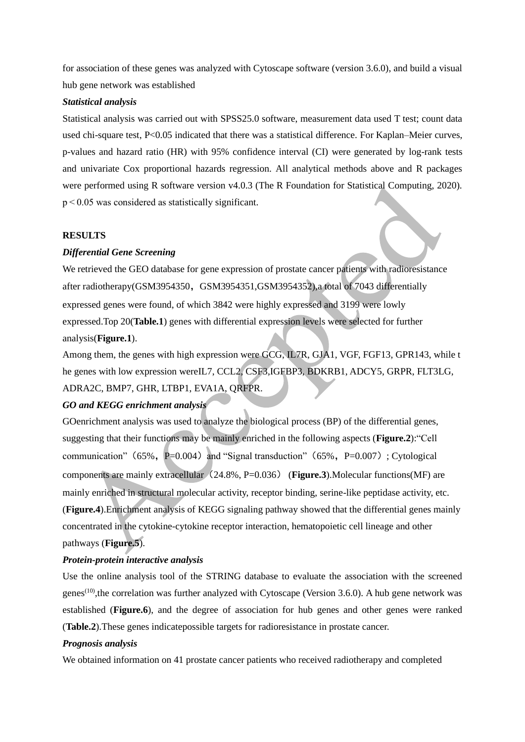for association of these genes was analyzed with Cytoscape software (version 3.6.0), and build a visual hub gene network was established

# *Statistical analysis*

Statistical analysis was carried out with SPSS25.0 software, measurement data used T test; count data used chi-square test, P<0.05 indicated that there was a statistical difference. For Kaplan–Meier curves, p-values and hazard ratio (HR) with 95% confidence interval (CI) were generated by log-rank tests and univariate Cox proportional hazards regression. All analytical methods above and R packages were performed using R software version v4.0.3 (The R Foundation for Statistical Computing, 2020).  $p \leq 0.05$  was considered as statistically significant.

# **RESULTS**

# *Differential Gene Screening*

We retrieved the GEO database for gene expression of prostate cancer patients with radioresistance after radiotherapy(GSM3954350, GSM3954351,GSM3954352), a total of 7043 differentially expressed genes were found, of which 3842 were highly expressed and 3199 were lowly expressed.Top 20(**Table.1**) genes with differential expression levels were selected for further analysis(**Figure.1**).

Among them, the genes with high expression were GCG, IL7R, GJA1, VGF, FGF13, GPR143, while t he genes with low expression wereIL7, CCL2, CSF3,IGFBP3, BDKRB1, ADCY5, GRPR, FLT3LG, ADRA2C, BMP7, GHR, LTBP1, EVA1A, QRFPR.

# *GO and KEGG enrichment analysis*

GOenrichment analysis was used to analyze the biological process (BP) of the differential genes, suggesting that their functions may be mainly enriched in the following aspects (**Figure.2**):"Cell communication" (65%, P=0.004) and "Signal transduction" (65%, P=0.007); Cytological components are mainly extracellular (24.8%, P=0.036) (**Figure.3**).Molecular functions(MF) are mainly enriched in structural molecular activity, receptor binding, serine-like peptidase activity, etc. (**Figure.4**).Enrichment analysis of KEGG signaling pathway showed that the differential genes mainly concentrated in the cytokine-cytokine receptor interaction, hematopoietic cell lineage and other pathways (**Figure.5**).

### *Protein-protein interactive analysis*

Use the online analysis tool of the STRING database to evaluate the association with the screened genes<sup>(10)</sup>, the correlation was further analyzed with Cytoscape (Version 3.6.0). A hub gene network was established (**Figure.6**), and the degree of association for hub genes and other genes were ranked (**Table.2**).These genes indicatepossible targets for radioresistance in prostate cancer.

### *Prognosis analysis*

We obtained information on 41 prostate cancer patients who received radiotherapy and completed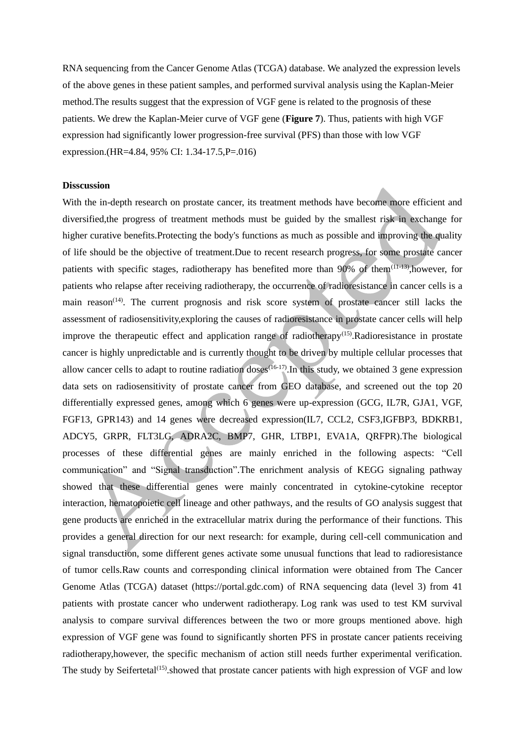RNA sequencing from the Cancer Genome Atlas (TCGA) database. We analyzed the expression levels of the above genes in these patient samples, and performed survival analysis using the Kaplan-Meier method.The results suggest that the expression of VGF gene is related to the prognosis of these patients. We drew the Kaplan-Meier curve of VGF gene (**Figure 7**). Thus, patients with high VGF expression had significantly lower progression-free survival (PFS) than those with low VGF expression.(HR=4.84, 95% CI: 1.34-17.5,P=.016)

#### **Disscussion**

With the in-depth research on prostate cancer, its treatment methods have become more efficient and diversified,the progress of treatment methods must be guided by the smallest risk in exchange for higher curative benefits.Protecting the body's functions as much as possible and improving the quality of life should be the objective of treatment.Due to recent research progress, for some prostate cancer patients with specific stages, radiotherapy has benefited more than  $90\%$  of them $^{(11-13)}$ , however, for patients who relapse after receiving radiotherapy, the occurrence of radioresistance in cancer cells is a main reason<sup>(14)</sup>. The current prognosis and risk score system of prostate cancer still lacks the assessment of radiosensitivity,exploring the causes of radioresistance in prostate cancer cells will help improve the therapeutic effect and application range of radiotherapy<sup>(15)</sup>. Radioresistance in prostate cancer is highly unpredictable and is currently thought to be driven by multiple cellular processes that allow cancer cells to adapt to routine radiation doses<sup> $(16-17)$ </sup>. In this study, we obtained 3 gene expression data sets on radiosensitivity of prostate cancer from GEO database, and screened out the top 20 differentially expressed genes, among which 6 genes were up-expression (GCG, IL7R, GJA1, VGF, FGF13, GPR143) and 14 genes were decreased expression(IL7, CCL2, CSF3,IGFBP3, BDKRB1, ADCY5, GRPR, FLT3LG, ADRA2C, BMP7, GHR, LTBP1, EVA1A, QRFPR).The biological processes of these differential genes are mainly enriched in the following aspects: "Cell communication" and "Signal transduction".The enrichment analysis of KEGG signaling pathway showed that these differential genes were mainly concentrated in cytokine-cytokine receptor interaction, hematopoietic cell lineage and other pathways, and the results of GO analysis suggest that gene products are enriched in the extracellular matrix during the performance of their functions. This provides a general direction for our next research: for example, during cell-cell communication and signal transduction, some different genes activate some unusual functions that lead to radioresistance of tumor cells.Raw counts and corresponding clinical information were obtained from The Cancer Genome Atlas (TCGA) dataset (https://portal.gdc.com) of RNA sequencing data (level 3) from 41 patients with prostate cancer who underwent radiotherapy. Log rank was used to test KM survival analysis to compare survival differences between the two or more groups mentioned above. high expression of VGF gene was found to significantly shorten PFS in prostate cancer patients receiving radiotherapy,however, the specific mechanism of action still needs further experimental verification. The study by Seifertetal<sup>(15)</sup>. Showed that prostate cancer patients with high expression of VGF and low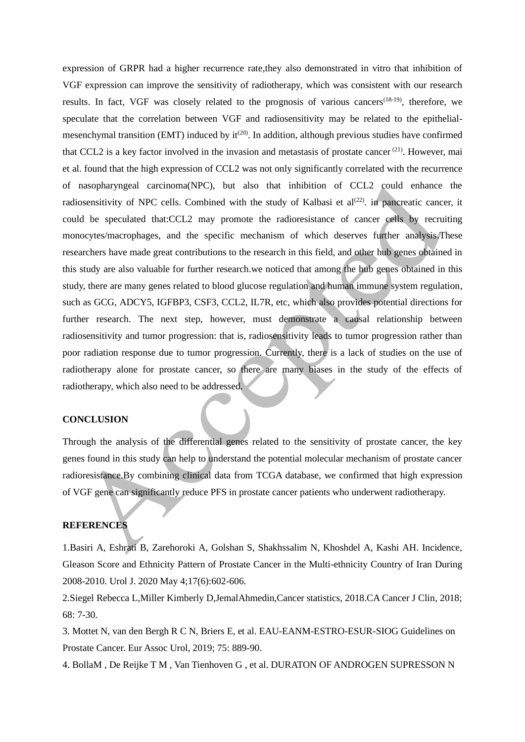expression of GRPR had a higher recurrence rate,they also demonstrated in vitro that inhibition of VGF expression can improve the sensitivity of radiotherapy, which was consistent with our research results. In fact, VGF was closely related to the prognosis of various cancers<sup> $(18-19)$ </sup>, therefore, we speculate that the correlation between VGF and radiosensitivity may be related to the epithelialmesenchymal transition (EMT) induced by  $it^{(20)}$ . In addition, although previous studies have confirmed that CCL2 is a key factor involved in the invasion and metastasis of prostate cancer<sup>(21)</sup>. However, mai et al. found that the high expression of CCL2 was not only significantly correlated with the recurrence of nasopharyngeal carcinoma(NPC), but also that inhibition of CCL2 could enhance the radiosensitivity of NPC cells. Combined with the study of Kalbasi et  $al^{(22)}$ . in pancreatic cancer, it could be speculated that:CCL2 may promote the radioresistance of cancer cells by recruiting monocytes/macrophages, and the specific mechanism of which deserves further analysis.These researchers have made great contributions to the research in this field, and other hub genes obtained in this study are also valuable for further research.we noticed that among the hub genes obtained in this study, there are many genes related to blood glucose regulation and human immune system regulation, such as GCG, ADCY5, IGFBP3, CSF3, CCL2, IL7R, etc, which also provides potential directions for further research. The next step, however, must demonstrate a causal relationship between radiosensitivity and tumor progression: that is, radiosensitivity leads to tumor progression rather than poor radiation response due to tumor progression. Currently, there is a lack of studies on the use of radiotherapy alone for prostate cancer, so there are many biases in the study of the effects of radiotherapy, which also need to be addressed.

## **CONCLUSION**

Through the analysis of the differential genes related to the sensitivity of prostate cancer, the key genes found in this study can help to understand the potential molecular mechanism of prostate cancer radioresistance.By combining clinical data from TCGA database, we confirmed that high expression of VGF gene can significantly reduce PFS in prostate cancer patients who underwent radiotherapy.

# **REFERENCES**

1.Basiri A, Eshrati B, Zarehoroki A, Golshan S, Shakhssalim N, Khoshdel A, Kashi AH. Incidence, Gleason Score and Ethnicity Pattern of Prostate Cancer in the Multi-ethnicity Country of Iran During 2008-2010. Urol J. 2020 May 4;17(6):602-606.

2.Siegel Rebecca L,Miller Kimberly D,JemalAhmedin,Cancer statistics, 2018.CA Cancer J Clin, 2018; 68: 7-30.

3. Mottet N, van den Bergh R C N, Briers E, et al. EAU-EANM-ESTRO-ESUR-SIOG Guidelines on Prostate Cancer. Eur Assoc Urol, 2019; 75: 889-90.

4. BollaM , De Reijke T M , Van Tienhoven G , et al. DURATON OF ANDROGEN SUPRESSON N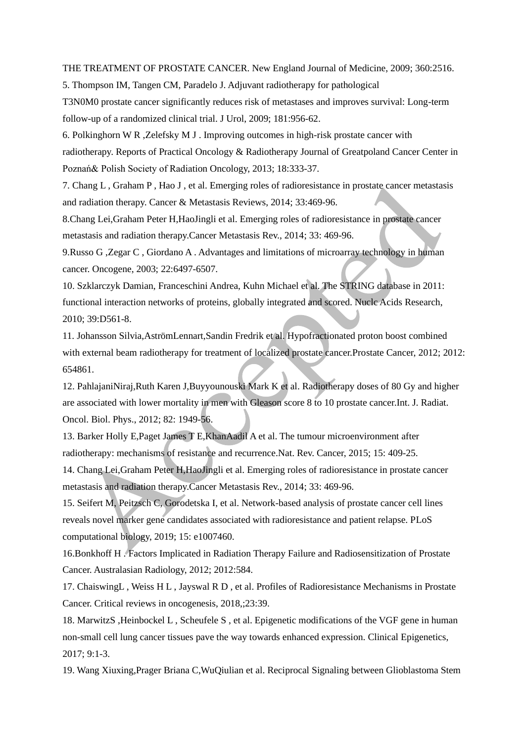THE TREATMENT OF PROSTATE CANCER. New England Journal of Medicine, 2009; 360:2516.

5. Thompson IM, Tangen CM, Paradelo J. Adjuvant radiotherapy for pathological

T3N0M0 prostate cancer significantly reduces risk of metastases and improves survival: Long-term follow-up of a randomized clinical trial. J Urol, 2009; 181:956-62.

6. Polkinghorn W R ,Zelefsky M J . Improving outcomes in high-risk prostate cancer with

radiotherapy. Reports of Practical Oncology & Radiotherapy Journal of Greatpoland Cancer Center in Poznań& Polish Society of Radiation Oncology, 2013; 18:333-37.

7. Chang L , Graham P , Hao J , et al. Emerging roles of radioresistance in prostate cancer metastasis and radiation therapy. Cancer & Metastasis Reviews, 2014; 33:469-96.

8.Chang Lei,Graham Peter H,HaoJingli et al. Emerging roles of radioresistance in prostate cancer metastasis and radiation therapy.Cancer Metastasis Rev., 2014; 33: 469-96.

9.Russo G ,Zegar C , Giordano A . Advantages and limitations of microarray technology in human cancer. Oncogene, 2003; 22:6497-6507.

10. Szklarczyk Damian, Franceschini Andrea, Kuhn Michael et al. The STRING database in 2011: functional interaction networks of proteins, globally integrated and scored. Nuclc Acids Research, 2010; 39:D561-8.

11. Johansson Silvia,AströmLennart,Sandin Fredrik et al. Hypofractionated proton boost combined with external beam radiotherapy for treatment of localized prostate cancer. Prostate Cancer, 2012; 2012: 654861.

12. PahlajaniNiraj,Ruth Karen J,Buyyounouski Mark K et al. Radiotherapy doses of 80 Gy and higher are associated with lower mortality in men with Gleason score 8 to 10 prostate cancer.Int. J. Radiat. Oncol. Biol. Phys., 2012; 82: 1949-56.

13. Barker Holly E,Paget James T E,KhanAadil A et al. The tumour microenvironment after radiotherapy: mechanisms of resistance and recurrence.Nat. Rev. Cancer, 2015; 15: 409-25.

14. Chang Lei,Graham Peter H,HaoJingli et al. Emerging roles of radioresistance in prostate cancer metastasis and radiation therapy.Cancer Metastasis Rev., 2014; 33: 469-96.

15. Seifert M, Peitzsch C, Gorodetska I, et al. Network-based analysis of prostate cancer cell lines reveals novel marker gene candidates associated with radioresistance and patient relapse. PLoS computational biology, 2019; 15: e1007460.

16.Bonkhoff H . Factors Implicated in Radiation Therapy Failure and Radiosensitization of Prostate Cancer. Australasian Radiology, 2012; 2012:584.

17. ChaiswingL , Weiss H L , Jayswal R D , et al. Profiles of Radioresistance Mechanisms in Prostate Cancer. Critical reviews in oncogenesis, 2018,;23:39.

18. MarwitzS ,Heinbockel L , Scheufele S , et al. Epigenetic modifications of the VGF gene in human non-small cell lung cancer tissues pave the way towards enhanced expression. Clinical Epigenetics, 2017; 9:1-3.

19. Wang Xiuxing,Prager Briana C,WuQiulian et al. Reciprocal Signaling between Glioblastoma Stem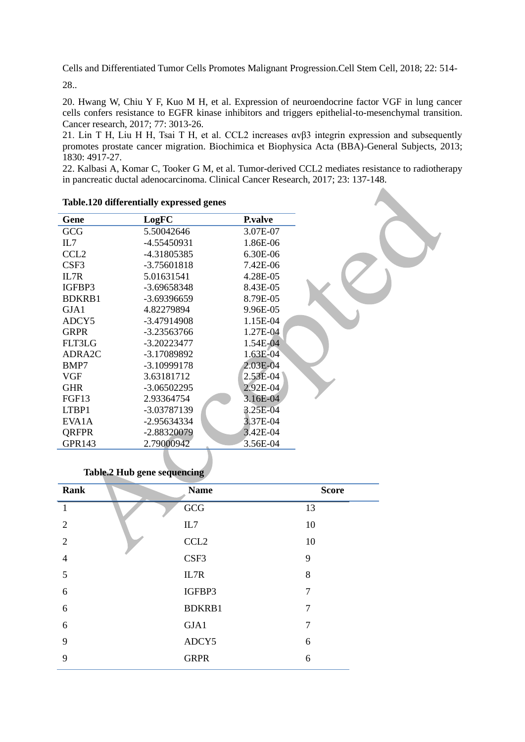Cells and Differentiated Tumor Cells Promotes Malignant Progression.Cell Stem Cell, 2018; 22: 514-

28..

20. Hwang W, Chiu Y F, Kuo M H, et al. Expression of neuroendocrine factor VGF in lung cancer cells confers resistance to EGFR kinase inhibitors and triggers epithelial-to-mesenchymal transition. Cancer research, 2017; 77: 3013-26.

21. Lin T H, Liu H H, Tsai T H, et al. CCL2 increases αvβ3 integrin expression and subsequently promotes prostate cancer migration. Biochimica et Biophysica Acta (BBA)-General Subjects, 2013; 1830: 4917-27.

22. Kalbasi A, Komar C, Tooker G M, et al. Tumor-derived CCL2 mediates resistance to radiotherapy in pancreatic ductal adenocarcinoma. Clinical Cancer Research, 2017; 23: 137-148.

| Gene               | LogFC         | <b>P</b> .valve |
|--------------------|---------------|-----------------|
| GCG                | 5.50042646    | 3.07E-07        |
| IL7                | -4.55450931   | 1.86E-06        |
| CCL <sub>2</sub>   | -4.31805385   | 6.30E-06        |
| CSF3               | $-3.75601818$ | 7.42E-06        |
| IL7R               | 5.01631541    | 4.28E-05        |
| IGFBP3             | $-3.69658348$ | 8.43E-05        |
| <b>BDKRB1</b>      | -3.69396659   | 8.79E-05        |
| GJA1               | 4.82279894    | 9.96E-05        |
| ADCY5              | $-3.47914908$ | 1.15E-04        |
| <b>GRPR</b>        | $-3.23563766$ | 1.27E-04        |
| <b>FLT3LG</b>      | $-3.20223477$ | 1.54E-04        |
| ADRA <sub>2C</sub> | -3.17089892   | 1.63E-04        |
| BMP7               | $-3.10999178$ | 2.03E-04        |
| <b>VGF</b>         | 3.63181712    | 2.53E-04        |
| <b>GHR</b>         | $-3.06502295$ | 2.92E-04        |
| FGF13              | 2.93364754    | 3.16E-04        |
| LTBP1              | -3.03787139   | 3.25E-04        |
| EVA <sub>1</sub> A | $-2.95634334$ | 3.37E-04        |
| <b>ORFPR</b>       | -2.88320079   | 3.42E-04        |
| <b>GPR143</b>      | 2.79000942    | 3.56E-04        |

#### **Table.120 differentially expressed genes**

**Table.2 Hub gene sequencing**

| Rank           | <b>Name</b>       | <b>Score</b> |
|----------------|-------------------|--------------|
| $\mathbf{1}$   | $_{\mathrm{GCG}}$ | 13           |
| $\overline{2}$ | IL7               | 10           |
| $\overline{2}$ | CCL <sub>2</sub>  | 10           |
| $\overline{4}$ | CSF3              | 9            |
| 5              | IL7R              | 8            |
| 6              | IGFBP3            | 7            |
| 6              | <b>BDKRB1</b>     | 7            |
| 6              | GJA1              | 7            |
| 9              | ADCY5             | 6            |
| 9              | <b>GRPR</b>       | 6            |
|                |                   |              |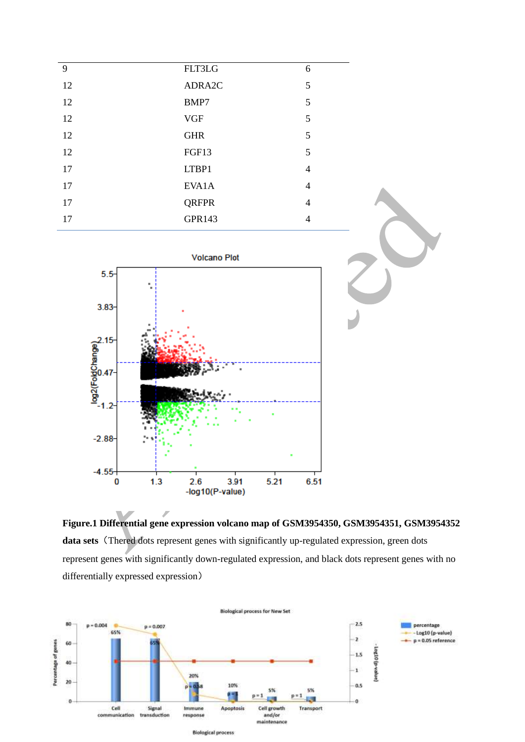



**Figure.1 Differential gene expression volcano map of GSM3954350, GSM3954351, GSM3954352**  data sets (Thered dots represent genes with significantly up-regulated expression, green dots represent genes with significantly down-regulated expression, and black dots represent genes with no differentially expressed expression)

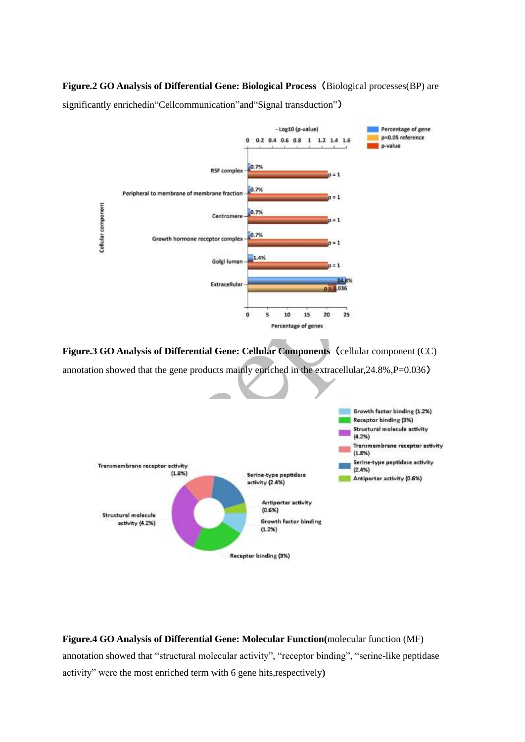**Figure.2 GO Analysis of Differential Gene: Biological Process**(Biological processes(BP) are

significantly enrichedin "Cellcommunication" and "Signal transduction")



**Figure.3 GO Analysis of Differential Gene: Cellular Components**(cellular component (CC) annotation showed that the gene products mainly enriched in the extracellular,24.8%,P=0.036)



**Figure.4 GO Analysis of Differential Gene: Molecular Function(**molecular function (MF) annotation showed that "structural molecular activity", "receptor binding", "serine-like peptidase activity" were the most enriched term with 6 gene hits,respectively**)**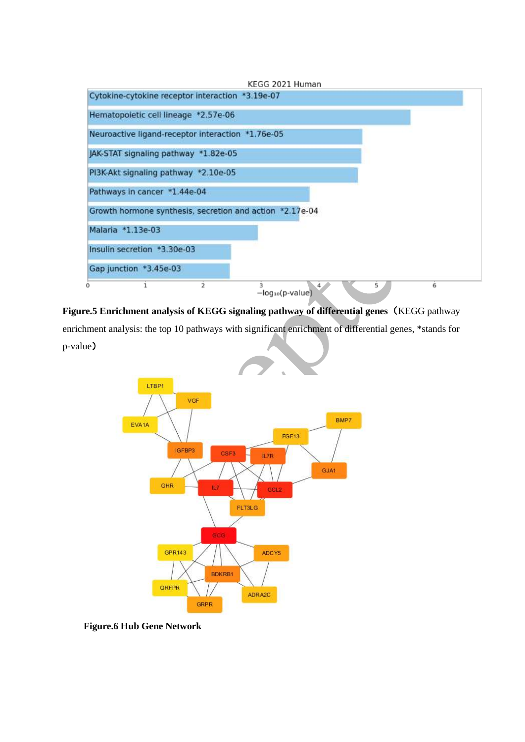



enrichment analysis: the top 10 pathways with significant enrichment of differential genes, \*stands for p-value)



**Figure.6 Hub Gene Network**